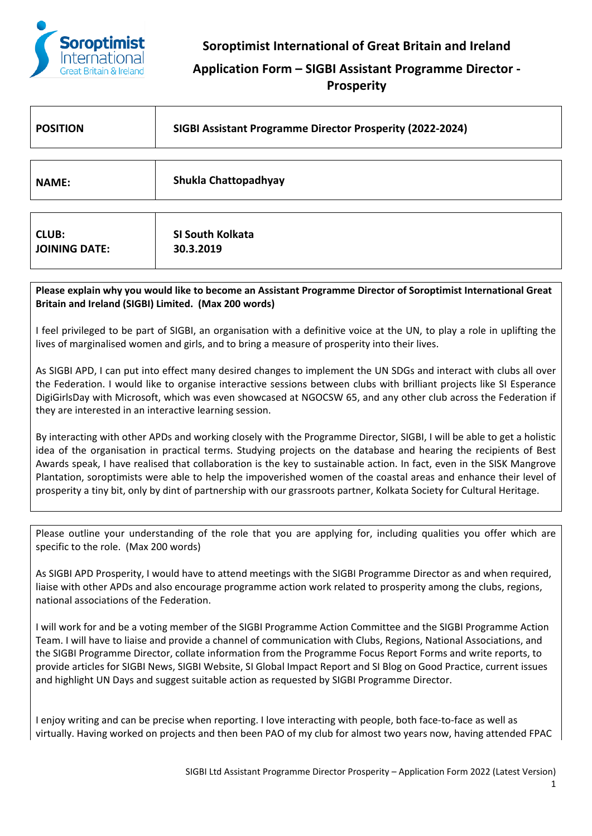

## **Application Form – SIGBI Assistant Programme Director - Prosperity**

| <b>POSITION</b>      | SIGBI Assistant Programme Director Prosperity (2022-2024) |  |
|----------------------|-----------------------------------------------------------|--|
|                      |                                                           |  |
| <b>NAME:</b>         | Shukla Chattopadhyay                                      |  |
|                      |                                                           |  |
| <b>CLUB:</b>         | SI South Kolkata                                          |  |
| <b>JOINING DATE:</b> | 30.3.2019                                                 |  |

**Please explain why you would like to become an Assistant Programme Director of Soroptimist International Great Britain and Ireland (SIGBI) Limited. (Max 200 words)**

I feel privileged to be part of SIGBI, an organisation with a definitive voice at the UN, to play a role in uplifting the lives of marginalised women and girls, and to bring a measure of prosperity into their lives.

As SIGBI APD, I can put into effect many desired changes to implement the UN SDGs and interact with clubs all over the Federation. I would like to organise interactive sessions between clubs with brilliant projects like SI Esperance DigiGirlsDay with Microsoft, which was even showcased at NGOCSW 65, and any other club across the Federation if they are interested in an interactive learning session.

By interacting with other APDs and working closely with the Programme Director, SIGBI, I will be able to get a holistic idea of the organisation in practical terms. Studying projects on the database and hearing the recipients of Best Awards speak, I have realised that collaboration is the key to sustainable action. In fact, even in the SISK Mangrove Plantation, soroptimists were able to help the impoverished women of the coastal areas and enhance their level of prosperity a tiny bit, only by dint of partnership with our grassroots partner, Kolkata Society for Cultural Heritage.

Please outline your understanding of the role that you are applying for, including qualities you offer which are specific to the role. (Max 200 words)

As SIGBI APD Prosperity, I would have to attend meetings with the SIGBI Programme Director as and when required, liaise with other APDs and also encourage programme action work related to prosperity among the clubs, regions, national associations of the Federation.

I will work for and be a voting member of the SIGBI Programme Action Committee and the SIGBI Programme Action Team. I will have to liaise and provide a channel of communication with Clubs, Regions, National Associations, and the SIGBI Programme Director, collate information from the Programme Focus Report Forms and write reports, to provide articles for SIGBI News, SIGBI Website, SI Global Impact Report and SI Blog on Good Practice, current issues and highlight UN Days and suggest suitable action as requested by SIGBI Programme Director.

I enjoy writing and can be precise when reporting. I love interacting with people, both face-to-face as well as virtually. Having worked on projects and then been PAO of my club for almost two years now, having attended FPAC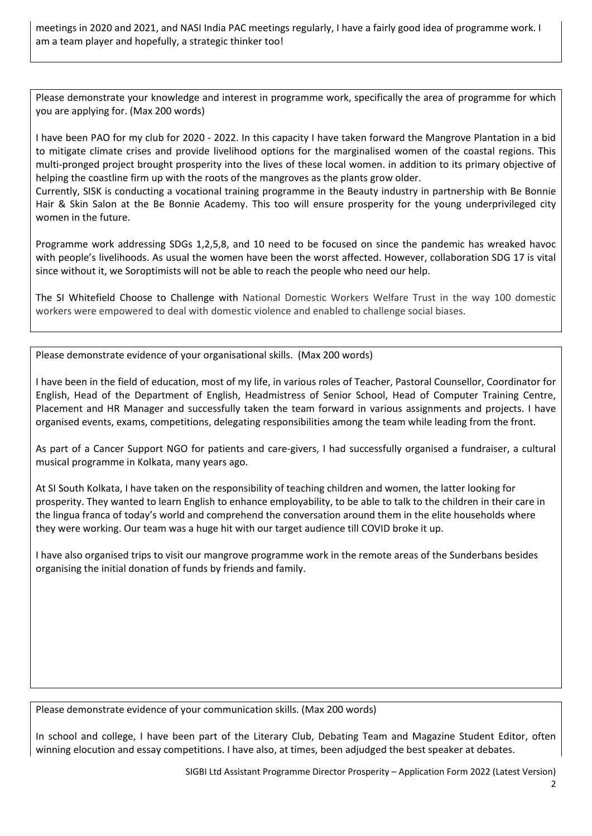meetings in 2020 and 2021, and NASI India PAC meetings regularly, I have a fairly good idea of programme work. I am a team player and hopefully, a strategic thinker too!

Please demonstrate your knowledge and interest in programme work, specifically the area of programme for which you are applying for. (Max 200 words)

I have been PAO for my club for 2020 - 2022. In this capacity I have taken forward the Mangrove Plantation in a bid to mitigate climate crises and provide livelihood options for the marginalised women of the coastal regions. This multi-pronged project brought prosperity into the lives of these local women. in addition to its primary objective of helping the coastline firm up with the roots of the mangroves as the plants grow older.

Currently, SISK is conducting a vocational training programme in the Beauty industry in partnership with Be Bonnie Hair & Skin Salon at the Be Bonnie Academy. This too will ensure prosperity for the young underprivileged city women in the future.

Programme work addressing SDGs 1,2,5,8, and 10 need to be focused on since the pandemic has wreaked havoc with people's livelihoods. As usual the women have been the worst affected. However, collaboration SDG 17 is vital since without it, we Soroptimists will not be able to reach the people who need our help.

The SI Whitefield Choose to Challenge with National Domestic Workers Welfare Trust in the way 100 domestic workers were empowered to deal with domestic violence and enabled to challenge social biases.

Please demonstrate evidence of your organisational skills. (Max 200 words)

I have been in the field of education, most of my life, in various roles of Teacher, Pastoral Counsellor, Coordinator for English, Head of the Department of English, Headmistress of Senior School, Head of Computer Training Centre, Placement and HR Manager and successfully taken the team forward in various assignments and projects. I have organised events, exams, competitions, delegating responsibilities among the team while leading from the front.

As part of a Cancer Support NGO for patients and care-givers, I had successfully organised a fundraiser, a cultural musical programme in Kolkata, many years ago.

At SI South Kolkata, I have taken on the responsibility of teaching children and women, the latter looking for prosperity. They wanted to learn English to enhance employability, to be able to talk to the children in their care in the lingua franca of today's world and comprehend the conversation around them in the elite households where they were working. Our team was a huge hit with our target audience till COVID broke it up.

I have also organised trips to visit our mangrove programme work in the remote areas of the Sunderbans besides organising the initial donation of funds by friends and family.

Please demonstrate evidence of your communication skills. (Max 200 words)

In school and college, I have been part of the Literary Club, Debating Team and Magazine Student Editor, often winning elocution and essay competitions. I have also, at times, been adjudged the best speaker at debates.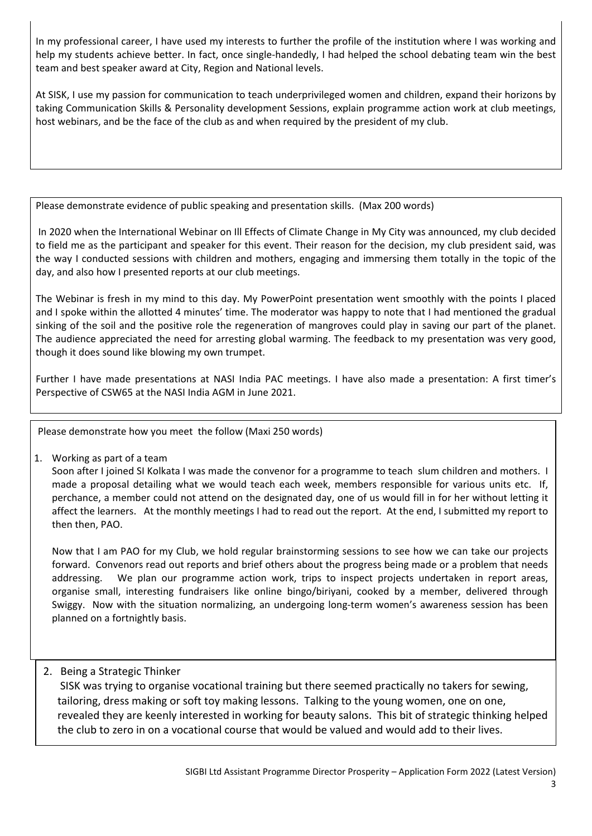In my professional career, I have used my interests to further the profile of the institution where I was working and help my students achieve better. In fact, once single-handedly, I had helped the school debating team win the best team and best speaker award at City, Region and National levels.

At SISK, I use my passion for communication to teach underprivileged women and children, expand their horizons by taking Communication Skills & Personality development Sessions, explain programme action work at club meetings, host webinars, and be the face of the club as and when required by the president of my club.

Please demonstrate evidence of public speaking and presentation skills. (Max 200 words)

In 2020 when the International Webinar on Ill Effects of Climate Change in My City was announced, my club decided to field me as the participant and speaker for this event. Their reason for the decision, my club president said, was the way I conducted sessions with children and mothers, engaging and immersing them totally in the topic of the day, and also how I presented reports at our club meetings.

The Webinar is fresh in my mind to this day. My PowerPoint presentation went smoothly with the points I placed and I spoke within the allotted 4 minutes' time. The moderator was happy to note that I had mentioned the gradual sinking of the soil and the positive role the regeneration of mangroves could play in saving our part of the planet. The audience appreciated the need for arresting global warming. The feedback to my presentation was very good, though it does sound like blowing my own trumpet.

Further I have made presentations at NASI India PAC meetings. I have also made a presentation: A first timer's Perspective of CSW65 at the NASI India AGM in June 2021.

Please demonstrate how you meet the follow (Maxi 250 words)

1. Working as part of a team

Soon after I joined SI Kolkata I was made the convenor for a programme to teach slum children and mothers. I made a proposal detailing what we would teach each week, members responsible for various units etc. If, perchance, a member could not attend on the designated day, one of us would fill in for her without letting it affect the learners. At the monthly meetings I had to read out the report. At the end, I submitted my report to then then, PAO.

Now that I am PAO for my Club, we hold regular brainstorming sessions to see how we can take our projects forward. Convenors read out reports and brief others about the progress being made or a problem that needs addressing. We plan our programme action work, trips to inspect projects undertaken in report areas, organise small, interesting fundraisers like online bingo/biriyani, cooked by a member, delivered through Swiggy. Now with the situation normalizing, an undergoing long-term women's awareness session has been planned on a fortnightly basis.

## 2. Being a Strategic Thinker

SISK was trying to organise vocational training but there seemed practically no takers for sewing, tailoring, dress making or soft toy making lessons. Talking to the young women, one on one, revealed they are keenly interested in working for beauty salons. This bit of strategic thinking helped the club to zero in on a vocational course that would be valued and would add to their lives.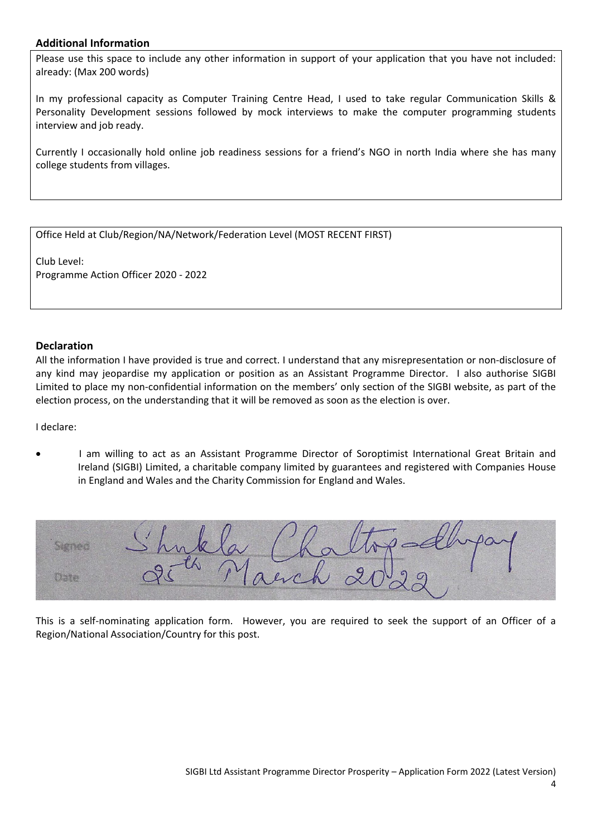## **Additional Information**

Please use this space to include any other information in support of your application that you have not included: already: (Max 200 words)

In my professional capacity as Computer Training Centre Head, I used to take regular Communication Skills & Personality Development sessions followed by mock interviews to make the computer programming students interview and job ready.

Currently I occasionally hold online job readiness sessions for a friend's NGO in north India where she has many college students from villages.

Office Held at Club/Region/NA/Network/Federation Level (MOST RECENT FIRST)

Club Level: Programme Action Officer 2020 - 2022

## **Declaration**

All the information I have provided is true and correct. I understand that any misrepresentation or non-disclosure of any kind may jeopardise my application or position as an Assistant Programme Director. I also authorise SIGBI Limited to place my non-confidential information on the members' only section of the SIGBI website, as part of the election process, on the understanding that it will be removed as soon as the election is over.

I declare:

• I am willing to act as an Assistant Programme Director of Soroptimist International Great Britain and Ireland (SIGBI) Limited, a charitable company limited by guarantees and registered with Companies House in England and Wales and the Charity Commission for England and Wales.

| $y_{t,a} = 2$<br>$Shn\&N\qquad1$ |  |
|----------------------------------|--|
| "March 20 29<br>96               |  |

This is a self-nominating application form. However, you are required to seek the support of an Officer of a Region/National Association/Country for this post.